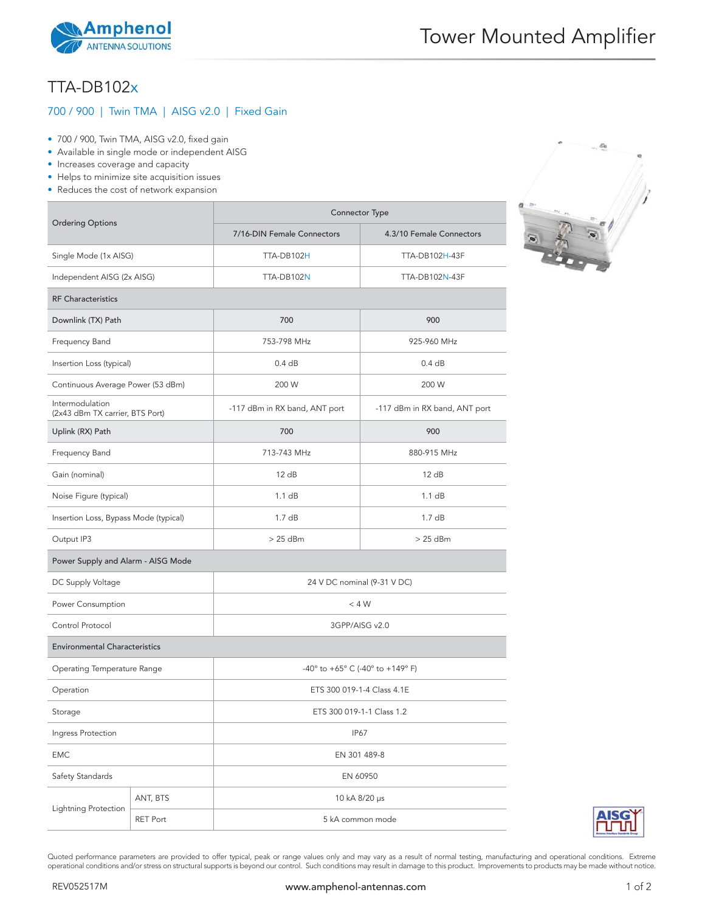

## TTA-DB102x

## 700 / 900 | Twin TMA | AISG v2.0 | Fixed Gain

- 700 / 900, Twin TMA, AISG v2.0, fixed gain
- Available in single mode or independent AISG
- Increases coverage and capacity
- Helps to minimize site acquisition issues
- Reduces the cost of network expansion

| <b>Ordering Options</b>                            |          | Connector Type                   |                               |
|----------------------------------------------------|----------|----------------------------------|-------------------------------|
|                                                    |          | 7/16-DIN Female Connectors       | 4.3/10 Female Connectors      |
| Single Mode (1x AISG)                              |          | TTA-DB102H                       | TTA-DB102H-43F                |
| Independent AISG (2x AISG)                         |          | TTA-DB102N                       | <b>TTA-DB102N-43F</b>         |
| <b>RF Characteristics</b>                          |          |                                  |                               |
| Downlink (TX) Path                                 |          | 700                              | 900                           |
| Frequency Band                                     |          | 753-798 MHz                      | 925-960 MHz                   |
| Insertion Loss (typical)                           |          | 0.4 dB                           | 0.4 dB                        |
| Continuous Average Power (53 dBm)                  |          | 200 W                            | 200 W                         |
| Intermodulation<br>(2x43 dBm TX carrier, BTS Port) |          | -117 dBm in RX band, ANT port    | -117 dBm in RX band, ANT port |
| Uplink (RX) Path                                   |          | 700                              | 900                           |
| Frequency Band                                     |          | 713-743 MHz                      | 880-915 MHz                   |
| Gain (nominal)                                     |          | 12 dB                            | 12 dB                         |
| Noise Figure (typical)                             |          | 1.1 dB                           | 1.1 dB                        |
| Insertion Loss, Bypass Mode (typical)              |          | 1.7dB                            | 1.7dB                         |
| Output IP3                                         |          | $>25$ dBm                        | $>25$ dBm                     |
| Power Supply and Alarm - AISG Mode                 |          |                                  |                               |
| DC Supply Voltage                                  |          | 24 V DC nominal (9-31 V DC)      |                               |
| Power Consumption                                  |          | $<$ 4 W                          |                               |
| Control Protocol                                   |          | 3GPP/AISG v2.0                   |                               |
| <b>Environmental Characteristics</b>               |          |                                  |                               |
| Operating Temperature Range                        |          | -40° to +65° C (-40° to +149° F) |                               |
| Operation                                          |          | ETS 300 019-1-4 Class 4.1E       |                               |
| Storage                                            |          | ETS 300 019-1-1 Class 1.2        |                               |
| Ingress Protection                                 |          | <b>IP67</b>                      |                               |
| <b>EMC</b>                                         |          | EN 301 489-8                     |                               |
| Safety Standards                                   |          | EN 60950                         |                               |
| Lightning Protection                               | ANT, BTS | 10 kA 8/20 µs                    |                               |
|                                                    | RET Port | 5 kA common mode                 |                               |



Quoted performance parameters are provided to offer typical, peak or range values only and may vary as a result of normal testing, manufacturing and operational conditions. Extreme operational conditions and/or stress on structural supports is beyond our control. Such conditions may result in damage to this product. Improvements to products may be made without notice.